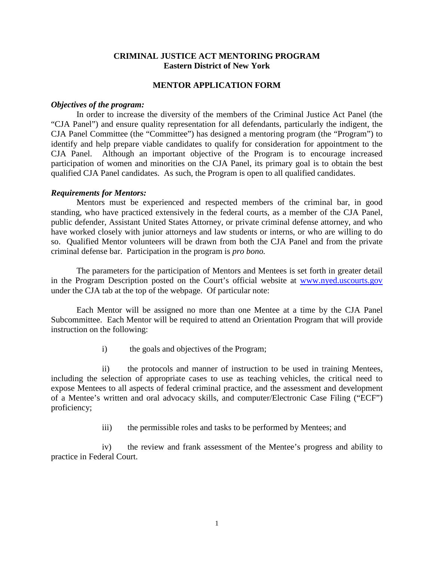## **CRIMINAL JUSTICE ACT MENTORING PROGRAM Eastern District of New York**

## **MENTOR APPLICATION FORM**

## *Objectives of the program:*

In order to increase the diversity of the members of the Criminal Justice Act Panel (the "CJA Panel") and ensure quality representation for all defendants, particularly the indigent, the CJA Panel Committee (the "Committee") has designed a mentoring program (the "Program") to identify and help prepare viable candidates to qualify for consideration for appointment to the CJA Panel. Although an important objective of the Program is to encourage increased participation of women and minorities on the CJA Panel, its primary goal is to obtain the best qualified CJA Panel candidates. As such, the Program is open to all qualified candidates.

## *Requirements for Mentors:*

Mentors must be experienced and respected members of the criminal bar, in good standing, who have practiced extensively in the federal courts, as a member of the CJA Panel, public defender, Assistant United States Attorney, or private criminal defense attorney, and who have worked closely with junior attorneys and law students or interns, or who are willing to do so. Qualified Mentor volunteers will be drawn from both the CJA Panel and from the private criminal defense bar. Participation in the program is *pro bono.*

The parameters for the participation of Mentors and Mentees is set forth in greater detail in the Program Description posted on the Court's official website at [www.nyed.uscourts.gov](http://www.nyed.uscourts.gov/) under the CJA tab at the top of the webpage. Of particular note:

Each Mentor will be assigned no more than one Mentee at a time by the CJA Panel Subcommittee. Each Mentor will be required to attend an Orientation Program that will provide instruction on the following:

i) the goals and objectives of the Program;

ii) the protocols and manner of instruction to be used in training Mentees, including the selection of appropriate cases to use as teaching vehicles, the critical need to expose Mentees to all aspects of federal criminal practice, and the assessment and development of a Mentee's written and oral advocacy skills, and computer/Electronic Case Filing ("ECF") proficiency;

iii) the permissible roles and tasks to be performed by Mentees; and

iv) the review and frank assessment of the Mentee's progress and ability to practice in Federal Court.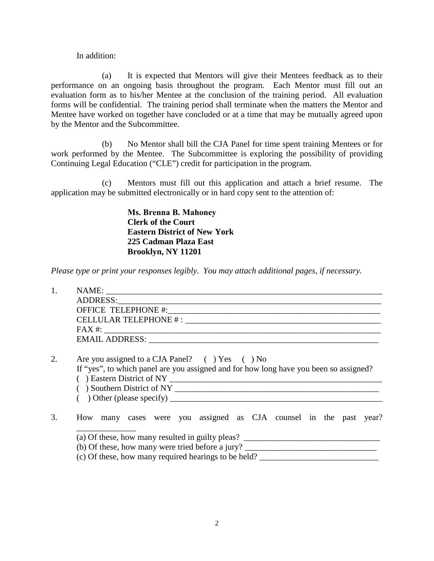In addition:

(a) It is expected that Mentors will give their Mentees feedback as to their performance on an ongoing basis throughout the program. Each Mentor must fill out an evaluation form as to his/her Mentee at the conclusion of the training period. All evaluation forms will be confidential. The training period shall terminate when the matters the Mentor and Mentee have worked on together have concluded or at a time that may be mutually agreed upon by the Mentor and the Subcommittee.

(b) No Mentor shall bill the CJA Panel for time spent training Mentees or for work performed by the Mentee. The Subcommittee is exploring the possibility of providing Continuing Legal Education ("CLE") credit for participation in the program.

(c) Mentors must fill out this application and attach a brief resume. The application may be submitted electronically or in hard copy sent to the attention of:

> **Ms. Brenna B. Mahoney Clerk of the Court Eastern District of New York 225 Cadman Plaza East Brooklyn, NY 11201**

*Please type or print your responses legibly. You may attach additional pages, if necessary.*

| 1. |                                                                                                                                        |
|----|----------------------------------------------------------------------------------------------------------------------------------------|
|    |                                                                                                                                        |
|    |                                                                                                                                        |
|    |                                                                                                                                        |
|    |                                                                                                                                        |
|    |                                                                                                                                        |
| 2. | Are you assigned to a CJA Panel? () Yes () No<br>If "yes", to which panel are you assigned and for how long have you been so assigned? |
| 3. | How many cases were you assigned as CJA counsel in the past year?                                                                      |
|    | (a) Of these, how many resulted in guilty pleas? ________________________________                                                      |
|    |                                                                                                                                        |
|    | (c) Of these, how many required hearings to be held?                                                                                   |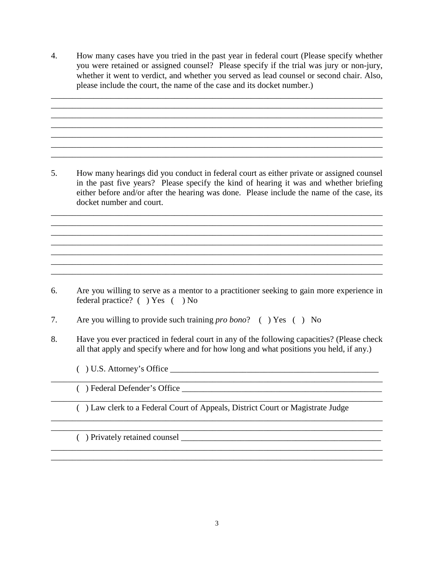4. How many cases have you tried in the past year in federal court (Please specify whether you were retained or assigned counsel? Please specify if the trial was jury or non-jury, whether it went to verdict, and whether you served as lead counsel or second chair. Also, please include the court, the name of the case and its docket number.)

\_\_\_\_\_\_\_\_\_\_\_\_\_\_\_\_\_\_\_\_\_\_\_\_\_\_\_\_\_\_\_\_\_\_\_\_\_\_\_\_\_\_\_\_\_\_\_\_\_\_\_\_\_\_\_\_\_\_\_\_\_\_\_\_\_\_\_\_\_\_\_\_\_\_\_\_\_\_ \_\_\_\_\_\_\_\_\_\_\_\_\_\_\_\_\_\_\_\_\_\_\_\_\_\_\_\_\_\_\_\_\_\_\_\_\_\_\_\_\_\_\_\_\_\_\_\_\_\_\_\_\_\_\_\_\_\_\_\_\_\_\_\_\_\_\_\_\_\_\_\_\_\_\_\_\_\_  $\mathcal{L}_\mathcal{L} = \{ \mathcal{L}_1, \mathcal{L}_2, \ldots, \mathcal{L}_N, \mathcal{L}_N, \mathcal{L}_N, \mathcal{L}_N, \mathcal{L}_N, \mathcal{L}_N, \mathcal{L}_N, \mathcal{L}_N, \mathcal{L}_N, \mathcal{L}_N, \mathcal{L}_N, \mathcal{L}_N, \mathcal{L}_N, \mathcal{L}_N, \mathcal{L}_N, \mathcal{L}_N, \mathcal{L}_N, \mathcal{L}_N, \mathcal{L}_N, \mathcal{L}_N, \mathcal{L}_N, \mathcal{L}_N, \mathcal{L}_N, \$ \_\_\_\_\_\_\_\_\_\_\_\_\_\_\_\_\_\_\_\_\_\_\_\_\_\_\_\_\_\_\_\_\_\_\_\_\_\_\_\_\_\_\_\_\_\_\_\_\_\_\_\_\_\_\_\_\_\_\_\_\_\_\_\_\_\_\_\_\_\_\_\_\_\_\_\_\_\_

 $\mathcal{L}_\mathcal{L} = \{ \mathcal{L}_\mathcal{L} = \{ \mathcal{L}_\mathcal{L} = \{ \mathcal{L}_\mathcal{L} = \{ \mathcal{L}_\mathcal{L} = \{ \mathcal{L}_\mathcal{L} = \{ \mathcal{L}_\mathcal{L} = \{ \mathcal{L}_\mathcal{L} = \{ \mathcal{L}_\mathcal{L} = \{ \mathcal{L}_\mathcal{L} = \{ \mathcal{L}_\mathcal{L} = \{ \mathcal{L}_\mathcal{L} = \{ \mathcal{L}_\mathcal{L} = \{ \mathcal{L}_\mathcal{L} = \{ \mathcal{L}_\mathcal{$ 

5. How many hearings did you conduct in federal court as either private or assigned counsel in the past five years? Please specify the kind of hearing it was and whether briefing either before and/or after the hearing was done. Please include the name of the case, its docket number and court.

\_\_\_\_\_\_\_\_\_\_\_\_\_\_\_\_\_\_\_\_\_\_\_\_\_\_\_\_\_\_\_\_\_\_\_\_\_\_\_\_\_\_\_\_\_\_\_\_\_\_\_\_\_\_\_\_\_\_\_\_\_\_\_\_\_\_\_\_\_\_\_\_\_\_\_\_\_\_ \_\_\_\_\_\_\_\_\_\_\_\_\_\_\_\_\_\_\_\_\_\_\_\_\_\_\_\_\_\_\_\_\_\_\_\_\_\_\_\_\_\_\_\_\_\_\_\_\_\_\_\_\_\_\_\_\_\_\_\_\_\_\_\_\_\_\_\_\_\_\_\_\_\_\_\_\_\_

\_\_\_\_\_\_\_\_\_\_\_\_\_\_\_\_\_\_\_\_\_\_\_\_\_\_\_\_\_\_\_\_\_\_\_\_\_\_\_\_\_\_\_\_\_\_\_\_\_\_\_\_\_\_\_\_\_\_\_\_\_\_\_\_\_\_\_\_\_\_\_\_\_\_\_\_\_\_

\_\_\_\_\_\_\_\_\_\_\_\_\_\_\_\_\_\_\_\_\_\_\_\_\_\_\_\_\_\_\_\_\_\_\_\_\_\_\_\_\_\_\_\_\_\_\_\_\_\_\_\_\_\_\_\_\_\_\_\_\_\_\_\_\_\_\_\_\_\_\_\_\_\_\_\_\_\_

\_\_\_\_\_\_\_\_\_\_\_\_\_\_\_\_\_\_\_\_\_\_\_\_\_\_\_\_\_\_\_\_\_\_\_\_\_\_\_\_\_\_\_\_\_\_\_\_\_\_\_\_\_\_\_\_\_\_\_\_\_\_\_\_\_\_\_\_\_\_\_\_\_\_\_\_\_\_ \_\_\_\_\_\_\_\_\_\_\_\_\_\_\_\_\_\_\_\_\_\_\_\_\_\_\_\_\_\_\_\_\_\_\_\_\_\_\_\_\_\_\_\_\_\_\_\_\_\_\_\_\_\_\_\_\_\_\_\_\_\_\_\_\_\_\_\_\_\_\_\_\_\_\_\_\_\_

- 6. Are you willing to serve as a mentor to a practitioner seeking to gain more experience in federal practice? ( ) Yes ( ) No
- 7. Are you willing to provide such training *pro bono*? ( ) Yes ( ) No
- 8. Have you ever practiced in federal court in any of the following capacities? (Please check all that apply and specify where and for how long and what positions you held, if any.)

\_\_\_\_\_\_\_\_\_\_\_\_\_\_\_\_\_\_\_\_\_\_\_\_\_\_\_\_\_\_\_\_\_\_\_\_\_\_\_\_\_\_\_\_\_\_\_\_\_\_\_\_\_\_\_\_\_\_\_\_\_\_\_\_\_\_\_\_\_\_\_\_\_\_\_\_\_\_

- $( )$  U.S. Attorney's Office  $\overline{\phantom{a}}$
- ( ) Federal Defender's Office \_\_\_\_\_\_\_\_\_\_\_\_\_\_\_\_\_\_\_\_\_\_\_\_\_\_\_\_\_\_\_\_\_\_\_\_\_\_\_\_\_\_\_\_\_\_\_
- \_\_\_\_\_\_\_\_\_\_\_\_\_\_\_\_\_\_\_\_\_\_\_\_\_\_\_\_\_\_\_\_\_\_\_\_\_\_\_\_\_\_\_\_\_\_\_\_\_\_\_\_\_\_\_\_\_\_\_\_\_\_\_\_\_\_\_\_\_\_\_\_\_\_\_\_\_\_ ( ) Law clerk to a Federal Court of Appeals, District Court or Magistrate Judge \_\_\_\_\_\_\_\_\_\_\_\_\_\_\_\_\_\_\_\_\_\_\_\_\_\_\_\_\_\_\_\_\_\_\_\_\_\_\_\_\_\_\_\_\_\_\_\_\_\_\_\_\_\_\_\_\_\_\_\_\_\_\_\_\_\_\_\_\_\_\_\_\_\_\_\_\_\_

\_\_\_\_\_\_\_\_\_\_\_\_\_\_\_\_\_\_\_\_\_\_\_\_\_\_\_\_\_\_\_\_\_\_\_\_\_\_\_\_\_\_\_\_\_\_\_\_\_\_\_\_\_\_\_\_\_\_\_\_\_\_\_\_\_\_\_\_\_\_\_\_\_\_\_\_\_\_

\_\_\_\_\_\_\_\_\_\_\_\_\_\_\_\_\_\_\_\_\_\_\_\_\_\_\_\_\_\_\_\_\_\_\_\_\_\_\_\_\_\_\_\_\_\_\_\_\_\_\_\_\_\_\_\_\_\_\_\_\_\_\_\_\_\_\_\_\_\_\_\_\_\_\_\_\_\_ \_\_\_\_\_\_\_\_\_\_\_\_\_\_\_\_\_\_\_\_\_\_\_\_\_\_\_\_\_\_\_\_\_\_\_\_\_\_\_\_\_\_\_\_\_\_\_\_\_\_\_\_\_\_\_\_\_\_\_\_\_\_\_\_\_\_\_\_\_\_\_\_\_\_\_\_\_\_

 $($ ) Privately retained counsel